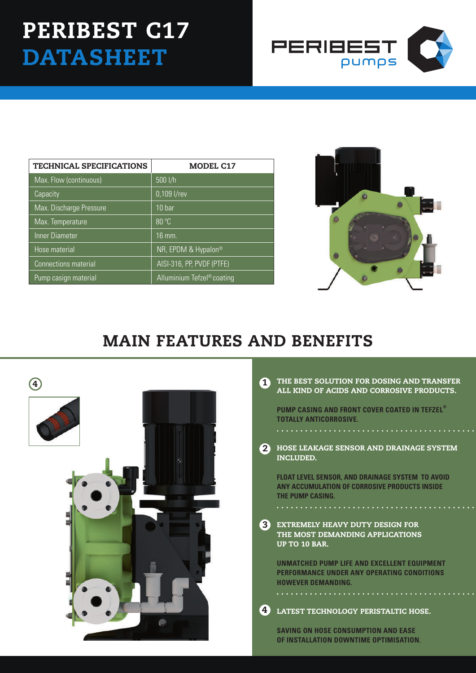## PERIBEST C17 **DATASHEET**



| <b>TECHNICAL SPECIFICATIONS</b> | <b>MODEL C17</b>           |
|---------------------------------|----------------------------|
| Max. Flow (continuous)          | $500$ I/h                  |
| Capacity                        | 0,109 l/rev                |
| Max. Discharge Pressure         | 10 <sub>bar</sub>          |
| Max. Temperature                | 80 °C                      |
| Inner Diameter                  | $16 \,\mathrm{mm}$ .       |
| Hose material                   | NR, EPDM & Hypalon®        |
| <b>Connections material</b>     | AISI-316, PP, PVDF (PTFE)  |
| Pump casign material            | Alluminium Tefzel® coating |



## MAIN FEATURES AND BENEFITS



|    | THE BEST SOLUTION FOR DOSING AND TRANSFER |  |  |
|----|-------------------------------------------|--|--|
| e. | ALL KIND OF ACIDS AND CORROSIVE PRODUCTS. |  |  |

**PUMP CASING AND FRONT COVER COATED IN TEFZEL® TOTALLY ANTICORROSIVE.**

2 HOSE LEAKAGE SENSOR AND DRAINAGE SYSTEM INCLUDED.

**float level sensor, and drainage system to avoid any accumulation of corrosive products inside the pump casing.**

**3** EXTREMELY HEAVY DUTY DESIGN F THE MOST DEMANDING APPLICATIONS UP TO 10 BAR.

**UNMATCHED PUMP LIFE AND EXCELLENT EQUIPMENT PERFORMANCE UNDER ANY OPERATING CONDITIONS HOWEVER DEMANDING.**

LATEST TECHNOLOGY PERISTALTIC HOSE. 4

**SAVING ON HOSE CONSUMPTION AND EASE OF INSTALLATION DOWNTIME OPTIMISATION.**